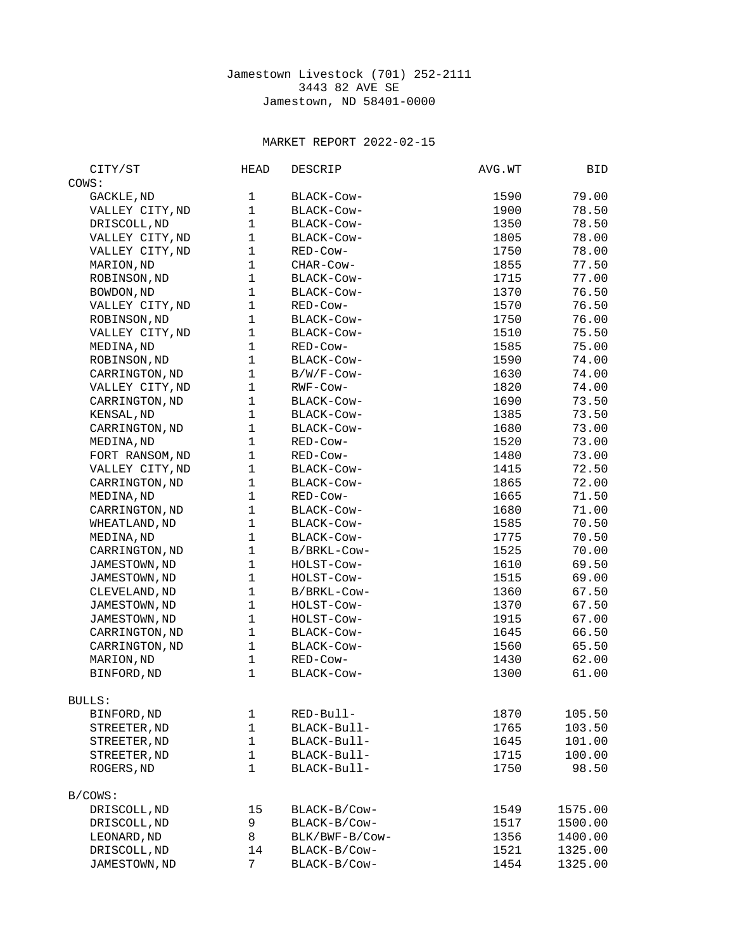## Jamestown Livestock (701) 252-2111 3443 82 AVE SE Jamestown, ND 58401-0000

## MARKET REPORT 2022-02-15

| CITY/ST         | HEAD           | <b>DESCRIP</b> | AVG.WT | BID     |
|-----------------|----------------|----------------|--------|---------|
| COWS:           |                |                |        |         |
| GACKLE, ND      | $\mathbf 1$    | BLACK-COW-     | 1590   | 79.00   |
| VALLEY CITY, ND | $\mathbf{1}$   | BLACK-COW-     | 1900   | 78.50   |
| DRISCOLL, ND    | $\mathbf{1}$   | BLACK-COW-     | 1350   | 78.50   |
| VALLEY CITY, ND | $\mathbf{1}$   | BLACK-Cow-     | 1805   | 78.00   |
| VALLEY CITY, ND | $\mathbf{1}$   | RED-Cow-       | 1750   | 78.00   |
| MARION, ND      | $\mathbf{1}$   | CHAR-COW-      | 1855   | 77.50   |
| ROBINSON, ND    | $\mathbf{1}$   | BLACK-COW-     | 1715   | 77.00   |
| BOWDON, ND      | $\mathbf{1}$   | BLACK-COW-     | 1370   | 76.50   |
| VALLEY CITY, ND | $\mathbf{1}$   | RED-Cow-       | 1570   | 76.50   |
| ROBINSON, ND    | $\mathbf{1}$   |                | 1750   | 76.00   |
|                 | $\mathbf{1}$   | BLACK-COW-     |        |         |
| VALLEY CITY, ND |                | BLACK-Cow-     | 1510   | 75.50   |
| MEDINA, ND      | $\mathbf{1}$   | RED-Cow-       | 1585   | 75.00   |
| ROBINSON, ND    | $\mathbf{1}$   | BLACK-COW-     | 1590   | 74.00   |
| CARRINGTON, ND  | $\mathbf{1}$   | B/W/F-Cow-     | 1630   | 74.00   |
| VALLEY CITY, ND | $\mathbf{1}$   | RWF-Cow-       | 1820   | 74.00   |
| CARRINGTON, ND  | $\mathbf{1}$   | BLACK-Cow-     | 1690   | 73.50   |
| KENSAL, ND      | $\mathbf{1}$   | BLACK-COW-     | 1385   | 73.50   |
| CARRINGTON, ND  | $\mathbf{1}$   | BLACK-COW-     | 1680   | 73.00   |
| MEDINA, ND      | $\mathbf{1}$   | RED-Cow-       | 1520   | 73.00   |
| FORT RANSOM, ND | $\mathbf{1}$   | RED-Cow-       | 1480   | 73.00   |
| VALLEY CITY, ND | $\mathbf{1}$   | BLACK-COW-     | 1415   | 72.50   |
| CARRINGTON, ND  | $\mathbf{1}$   | BLACK-COW-     | 1865   | 72.00   |
| MEDINA, ND      | $\mathbf{1}$   | RED-Cow-       | 1665   | 71.50   |
| CARRINGTON, ND  | $\mathbf{1}$   | BLACK-COW-     | 1680   | 71.00   |
| WHEATLAND, ND   | $\mathbf{1}$   | BLACK-COW-     | 1585   | 70.50   |
| MEDINA, ND      | $\mathbf{1}$   | BLACK-COW-     | 1775   | 70.50   |
| CARRINGTON, ND  | $\mathbf{1}$   | B/BRKL-Cow-    | 1525   | 70.00   |
| JAMESTOWN, ND   | $\mathbf{1}$   | HOLST-COW-     | 1610   | 69.50   |
| JAMESTOWN, ND   | $\mathbf{1}$   | HOLST-COW-     | 1515   | 69.00   |
| CLEVELAND, ND   | 1              | B/BRKL-Cow-    | 1360   | 67.50   |
| JAMESTOWN, ND   | $\mathbf{1}$   | HOLST-COW-     | 1370   | 67.50   |
| JAMESTOWN, ND   | $\mathbf{1}$   | HOLST-COW-     | 1915   | 67.00   |
| CARRINGTON, ND  | $\mathbf{1}$   | BLACK-COW-     | 1645   | 66.50   |
| CARRINGTON, ND  | $\mathbf{1}$   | BLACK-COW-     | 1560   | 65.50   |
| MARION, ND      | $\mathbf{1}$   | RED-Cow-       | 1430   | 62.00   |
| BINFORD, ND     | $\mathbf{1}$   | BLACK-COW-     | 1300   | 61.00   |
| BULLS:          |                |                |        |         |
| BINFORD, ND     | $\mathbf 1$    | RED-Bull-      | 1870   | 105.50  |
| STREETER, ND    | $\mathbf{1}$   | BLACK-Bull-    | 1765   | 103.50  |
| STREETER, ND    | $\mathbf{1}$   | BLACK-Bull-    | 1645   | 101.00  |
| STREETER, ND    | $\mathbf{1}$   | BLACK-Bull-    | 1715   | 100.00  |
| ROGERS, ND      | $\mathbf{1}$   | BLACK-Bull-    | 1750   | 98.50   |
| B/COWS:         |                |                |        |         |
| DRISCOLL, ND    | 15             | BLACK-B/Cow-   | 1549   | 1575.00 |
| DRISCOLL, ND    | 9              | BLACK-B/Cow-   | 1517   | 1500.00 |
| LEONARD, ND     | 8              | BLK/BWF-B/COW- | 1356   | 1400.00 |
| DRISCOLL, ND    | 14             | BLACK-B/COW-   | 1521   | 1325.00 |
| JAMESTOWN, ND   | $\overline{7}$ | BLACK-B/Cow-   | 1454   | 1325.00 |